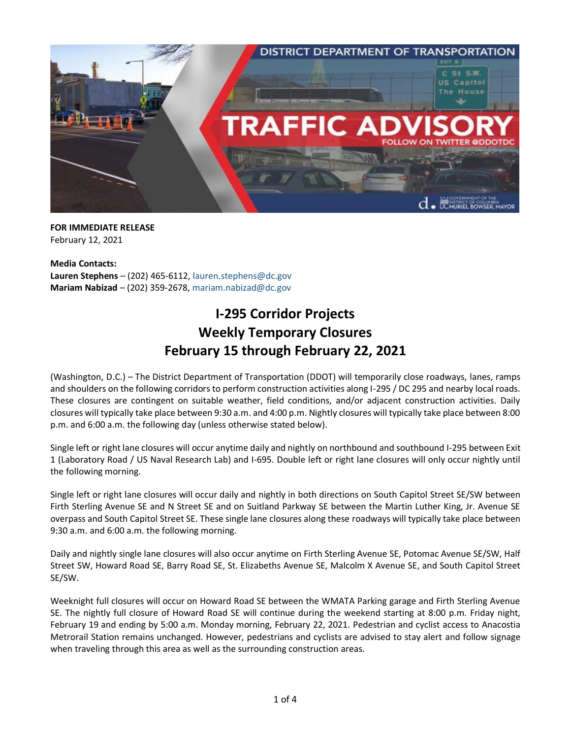

**FOR IMMEDIATE RELEASE** February 12, 2021

**Media Contacts: Lauren Stephens** – (202) 465-6112, [lauren.stephens@dc.gov](mailto:lauren.stephens@dc.gov) **Mariam Nabizad** – (202) 359-2678, [mariam.nabizad@dc.gov](mailto:mariam.nabizad@dc.gov)

## **I-295 Corridor Projects Weekly Temporary Closures February 15 through February 22, 2021**

(Washington, D.C.) – The District Department of Transportation (DDOT) will temporarily close roadways, lanes, ramps and shoulders on the following corridors to perform construction activities along I-295 / DC 295 and nearby local roads. These closures are contingent on suitable weather, field conditions, and/or adjacent construction activities. Daily closures will typically take place between 9:30 a.m. and 4:00 p.m. Nightly closures will typically take place between 8:00 p.m. and 6:00 a.m. the following day (unless otherwise stated below).

Single left or right lane closures will occur anytime daily and nightly on northbound and southbound I-295 between Exit 1 (Laboratory Road / US Naval Research Lab) and I-695. Double left or right lane closures will only occur nightly until the following morning.

Single left or right lane closures will occur daily and nightly in both directions on South Capitol Street SE/SW between Firth Sterling Avenue SE and N Street SE and on Suitland Parkway SE between the Martin Luther King, Jr. Avenue SE overpass and South Capitol Street SE. These single lane closures along these roadways will typically take place between 9:30 a.m. and 6:00 a.m. the following morning.

Daily and nightly single lane closures will also occur anytime on Firth Sterling Avenue SE, Potomac Avenue SE/SW, Half Street SW, Howard Road SE, Barry Road SE, St. Elizabeths Avenue SE, Malcolm X Avenue SE, and South Capitol Street SE/SW.

Weeknight full closures will occur on Howard Road SE between the WMATA Parking garage and Firth Sterling Avenue SE. The nightly full closure of Howard Road SE will continue during the weekend starting at 8:00 p.m. Friday night, February 19 and ending by 5:00 a.m. Monday morning, February 22, 2021. Pedestrian and cyclist access to Anacostia Metrorail Station remains unchanged. However, pedestrians and cyclists are advised to stay alert and follow signage when traveling through this area as well as the surrounding construction areas.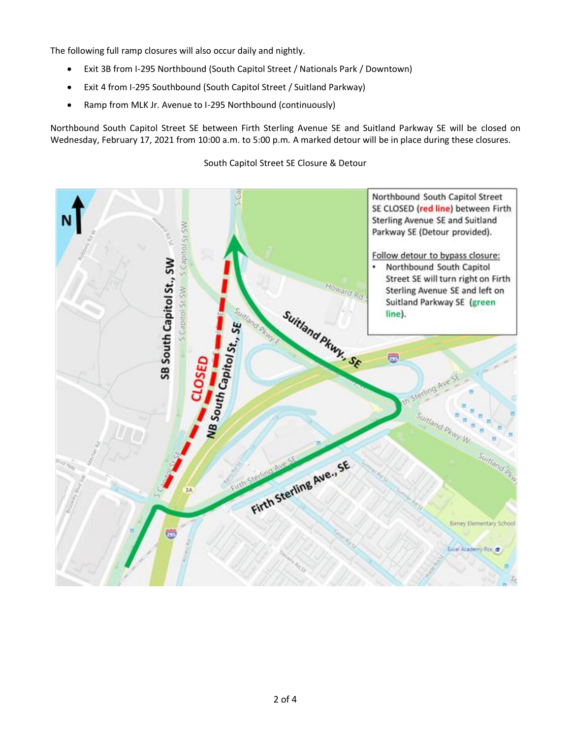The following full ramp closures will also occur daily and nightly.

- Exit 3B from I-295 Northbound (South Capitol Street / Nationals Park / Downtown)
- Exit 4 from I-295 Southbound (South Capitol Street / Suitland Parkway)
- Ramp from MLK Jr. Avenue to I-295 Northbound (continuously)

Northbound South Capitol Street SE between Firth Sterling Avenue SE and Suitland Parkway SE will be closed on Wednesday, February 17, 2021 from 10:00 a.m. to 5:00 p.m. A marked detour will be in place during these closures.

Northbound South Capitol Street SE CLOSED (red line) between Firth Sterling Avenue SE and Suitland S Capitol St SV Parkway SE (Detour provided). Follow detour to bypass closure: SB South Capitol St., SW Northbound South Capitol Street SE will turn right on Firth Howard Rd S Capitol St SW Sterling Avenue SE and left on Suitland Parkway SE (green Suitland Pkwy. SE line). MB South Capitol St. SE U. utland Pkwy W Suitland Pt Firth Sterling Ave., SE Birney Elementary School Excel Academy Pcs

South Capitol Street SE Closure & Detour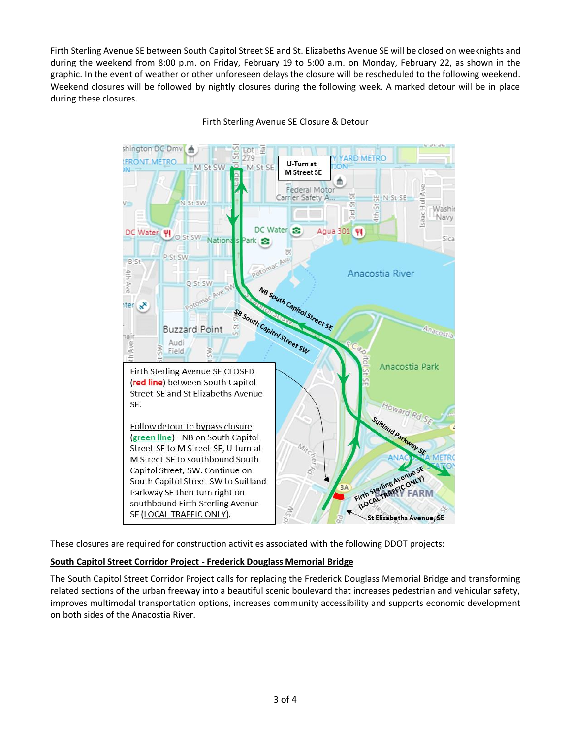Firth Sterling Avenue SE between South Capitol Street SE and St. Elizabeths Avenue SE will be closed on weeknights and during the weekend from 8:00 p.m. on Friday, February 19 to 5:00 a.m. on Monday, February 22, as shown in the graphic. In the event of weather or other unforeseen delays the closure will be rescheduled to the following weekend. Weekend closures will be followed by nightly closures during the following week. A marked detour will be in place during these closures.



Firth Sterling Avenue SE Closure & Detour

These closures are required for construction activities associated with the following DDOT projects:

## **South Capitol Street Corridor Project - Frederick Douglass Memorial Bridge**

The South Capitol Street Corridor Project calls for replacing the Frederick Douglass Memorial Bridge and transforming related sections of the urban freeway into a beautiful scenic boulevard that increases pedestrian and vehicular safety, improves multimodal transportation options, increases community accessibility and supports economic development on both sides of the Anacostia River.